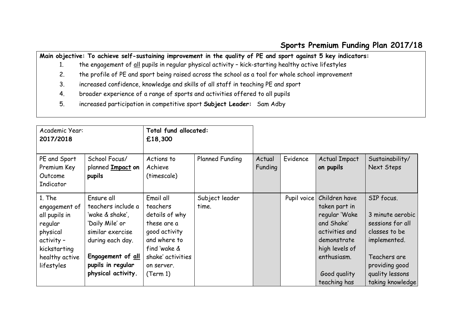## **Sports Premium Funding Plan 2017/18**

**Main objective: To achieve self-sustaining improvement in the quality of PE and sport against 5 key indicators:** 

- 1. the engagement of all pupils in regular physical activity kick-starting healthy active lifestyles
- 2. the profile of PE and sport being raised across the school as a tool for whole school improvement
- 3. increased confidence, knowledge and skills of all staff in teaching PE and sport
- 4. broader experience of a range of sports and activities offered to all pupils
- 5. increased participation in competitive sport **Subject Leader:** Sam Adby

| Academic Year:<br>2017/2018                                                                                                   |                                                                                                                                                                                | Total fund allocated:<br>£18,300                                                                                                                       |                         |                   |             |                                                                                                                                                                 |                                                                                                                                                              |
|-------------------------------------------------------------------------------------------------------------------------------|--------------------------------------------------------------------------------------------------------------------------------------------------------------------------------|--------------------------------------------------------------------------------------------------------------------------------------------------------|-------------------------|-------------------|-------------|-----------------------------------------------------------------------------------------------------------------------------------------------------------------|--------------------------------------------------------------------------------------------------------------------------------------------------------------|
| PE and Sport<br>Premium Key<br>Outcome<br>Indicator                                                                           | School Focus/<br>planned Impact on<br>pupils                                                                                                                                   | Actions to<br>Achieve<br>(timescale)                                                                                                                   | <b>Planned Funding</b>  | Actual<br>Funding | Evidence    | <b>Actual Impact</b><br>on pupils                                                                                                                               | Sustainability/<br>Next Steps                                                                                                                                |
| 1. The<br>engagement of<br>all pupils in<br>regular<br>physical<br>activity -<br>kickstarting<br>healthy active<br>lifestyles | Ensure all<br>teachers include a<br>'wake & shake',<br>'Daily Mile' or<br>similar exercise<br>during each day.<br>Engagement of all<br>pupils in regular<br>physical activity. | Email all<br>teachers<br>details of why<br>these are a<br>good activity<br>and where to<br>find 'wake &<br>shake' activities<br>on server.<br>(Term 1) | Subject leader<br>time. |                   | Pupil voice | Children have<br>taken part in<br>regular 'Wake<br>and Shake'<br>activities and<br>demonstrate<br>high levels of<br>enthusiasm.<br>Good quality<br>teaching has | SIP focus.<br>3 minute aerobic<br>sessions for all<br>classes to be<br>implemented.<br>Teachers are<br>providing good<br>quality lessons<br>taking knowledge |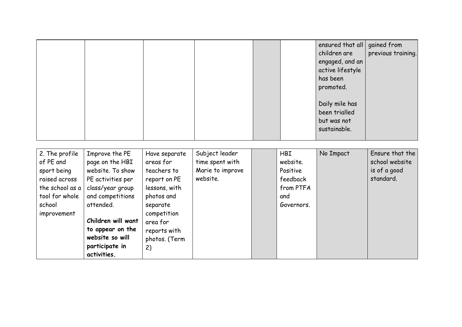|                |                  |               |                  |            | ensured that all<br>children are<br>engaged, and an<br>active lifestyle<br>has been<br>promoted.<br>Daily mile has<br>been trialled<br>but was not<br>sustainable. | gained from<br>previous training. |
|----------------|------------------|---------------|------------------|------------|--------------------------------------------------------------------------------------------------------------------------------------------------------------------|-----------------------------------|
|                |                  |               |                  |            |                                                                                                                                                                    |                                   |
|                |                  |               |                  |            |                                                                                                                                                                    |                                   |
| 2. The profile | Improve the PE   | Have separate | Subject leader   | <b>HBI</b> | No Impact                                                                                                                                                          | Ensure that the                   |
| of PE and      | page on the HBI  | areas for     | time spent with  | website.   |                                                                                                                                                                    | school website                    |
| sport being    | website. To show | teachers to   | Marie to improve | Positive   |                                                                                                                                                                    | is of a good                      |

| $OT$ PC and     | page on the HBI    | areas for     | <b>IIIIIE SPEIII WIIII</b> | WEDSITE.   | <b>SCHOOL WEDSITE</b> |
|-----------------|--------------------|---------------|----------------------------|------------|-----------------------|
| sport being     | website. To show   | teachers to   | Marie to improve           | Positive   | is of a good          |
| raised across   | PE activities per  | report on PE  | website.                   | feedback   | standard.             |
| the school as a | class/year group   | lessons, with |                            | from PTFA  |                       |
| tool for whole  | and competitions   | photos and    |                            | and        |                       |
| school          | attended.          | separate      |                            | Governors. |                       |
| improvement     |                    | competition   |                            |            |                       |
|                 | Children will want | area for      |                            |            |                       |
|                 | to appear on the   | reports with  |                            |            |                       |
|                 | website so will    | photos. (Term |                            |            |                       |
|                 | participate in     | 2)            |                            |            |                       |
|                 | activities.        |               |                            |            |                       |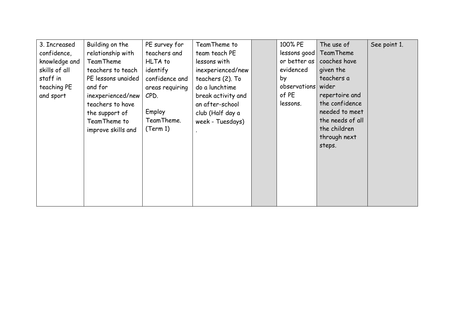| 3. Increased  | Building on the    | PE survey for   | TeamTheme to       | 100% PE        | The use of       | See point 1. |
|---------------|--------------------|-----------------|--------------------|----------------|------------------|--------------|
| confidence,   | relationship with  | teachers and    | team teach PE      | $lessons$ good | TeamTheme        |              |
| knowledge and | TeamTheme          | HLTA to         | lessons with       | or better as   | coaches have     |              |
| skills of all | teachers to teach  | identify        | inexperienced/new  | evidenced      | given the        |              |
| staff in      | PE lessons unaided | confidence and  | teachers (2). To   | by             | teachers a       |              |
| teaching PE   | and for            | areas requiring | do a lunchtime     | observations   | wider            |              |
| and sport     | inexperienced/new  | CPD.            | break activity and | of PE          | repertoire and   |              |
|               | teachers to have   |                 | an after-school    | lessons.       | the confidence   |              |
|               | the support of     | Employ          | club (Half day a   |                | needed to meet   |              |
|               | TeamTheme to       | TeamTheme.      | week - Tuesdays)   |                | the needs of all |              |
|               | improve skills and | (Term 1)        |                    |                | the children     |              |
|               |                    |                 |                    |                | through next     |              |
|               |                    |                 |                    |                | steps.           |              |
|               |                    |                 |                    |                |                  |              |
|               |                    |                 |                    |                |                  |              |
|               |                    |                 |                    |                |                  |              |
|               |                    |                 |                    |                |                  |              |
|               |                    |                 |                    |                |                  |              |
|               |                    |                 |                    |                |                  |              |
|               |                    |                 |                    |                |                  |              |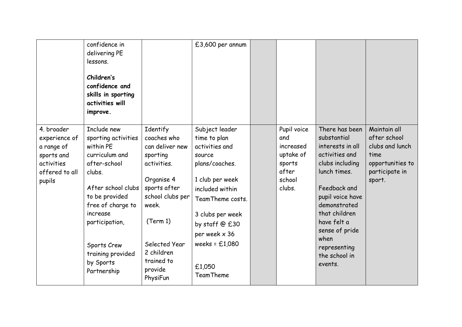|                                                                                                   | confidence in<br>delivering PE<br>lessons.<br>Children's<br>confidence and<br>skills in sporting<br>activities will<br>improve.                                                                                                                        |                                                                                                                                                                                                                  | £3,600 per annum                                                                                                                                                                                                                                |                                                                                     |                                                                                                                                                                                                                                                                  |                                                                                                         |
|---------------------------------------------------------------------------------------------------|--------------------------------------------------------------------------------------------------------------------------------------------------------------------------------------------------------------------------------------------------------|------------------------------------------------------------------------------------------------------------------------------------------------------------------------------------------------------------------|-------------------------------------------------------------------------------------------------------------------------------------------------------------------------------------------------------------------------------------------------|-------------------------------------------------------------------------------------|------------------------------------------------------------------------------------------------------------------------------------------------------------------------------------------------------------------------------------------------------------------|---------------------------------------------------------------------------------------------------------|
| 4. broader<br>experience of<br>a range of<br>sports and<br>activities<br>offered to all<br>pupils | Include new<br>sporting activities<br>within PE<br>curriculum and<br>after-school<br>clubs.<br>After school clubs<br>to be provided<br>free of charge to<br>increase<br>participation,<br>Sports Crew<br>training provided<br>by Sports<br>Partnership | Identify<br>coaches who<br>can deliver new<br>sporting<br>activities.<br>Organise 4<br>sports after<br>school clubs per<br>week.<br>(Term 1)<br>Selected Year<br>2 children<br>trained to<br>provide<br>PhysiFun | Subject leader<br>time to plan<br>activities and<br>source<br>plans/coaches.<br>1 club per week<br>included within<br>TeamTheme costs.<br>3 clubs per week<br>by staff @ £30<br>per week x 36<br>weeks = $£1,080$<br>£1,050<br><b>TeamTheme</b> | Pupil voice<br>and<br>increased<br>uptake of<br>sports<br>after<br>school<br>clubs. | There has been<br>substantial<br>interests in all<br>activities and<br>clubs including<br>lunch times.<br>Feedback and<br>pupil voice have<br>demonstrated<br>that children<br>have felt a<br>sense of pride<br>when<br>representing<br>the school in<br>events. | Maintain all<br>after school<br>clubs and lunch<br>time<br>opportunities to<br>participate in<br>sport. |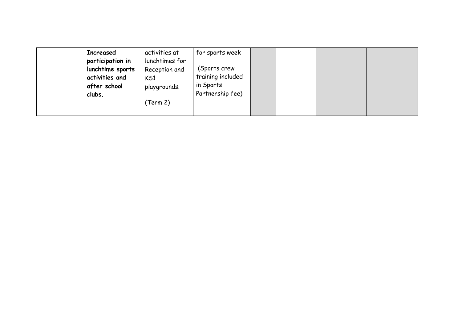| activities at<br><b>Increased</b><br>for sports week<br>participation in<br>lunchtimes for<br>(Sports crew<br>lunchtime sports<br>Reception and<br>training included<br>activities and<br>KS1<br>in Sports<br>after school<br>playgrounds.<br>Partnership fee)<br>clubs.<br>(Term 2) |  |
|--------------------------------------------------------------------------------------------------------------------------------------------------------------------------------------------------------------------------------------------------------------------------------------|--|
|--------------------------------------------------------------------------------------------------------------------------------------------------------------------------------------------------------------------------------------------------------------------------------------|--|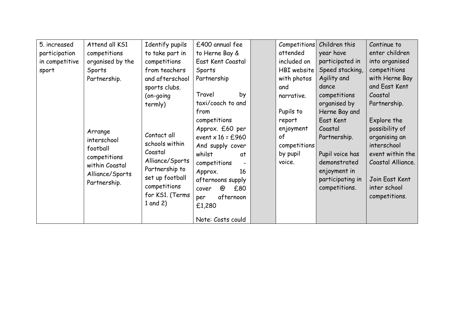| 5. increased   | Attend all KS1   | Identify pupils | £400 annual fee     | Competitions  | Children this    | Continue to       |
|----------------|------------------|-----------------|---------------------|---------------|------------------|-------------------|
| participation  | competitions     | to take part in | to Herne Bay &      | attended      | year have        | enter children    |
| in competitive | organised by the | competitions    | East Kent Coastal   | included on   | participated in  | into organised    |
| sport          | Sports           | from teachers   | Sports              | $HBI$ website | Speed stacking,  | competitions      |
|                | Partnership.     | and afterschool | Partnership         | with photos   | Agility and      | with Herne Bay    |
|                |                  | sports clubs.   |                     | and           | dance            | and East Kent     |
|                |                  | (on-going       | Travel<br>by        | narrative.    | competitions     | Coastal           |
|                |                  | termly)         | taxi/coach to and   |               | organised by     | Partnership.      |
|                |                  |                 | from                | Pupils to     | Herne Bay and    |                   |
|                |                  |                 | competitions        | report        | East Kent        | Explore the       |
|                | Arrange          |                 | Approx. £60 per     | enjoyment     | Coastal          | possibility of    |
|                | interschool      | Contact all     | event $x 16 = £960$ | of            | Partnership.     | organising an     |
|                | football         | schools within  | And supply cover    | competitions  |                  | interschool       |
|                | competitions     | Coastal         | whilst<br>at        | by pupil      | Pupil voice has  | event within the  |
|                | within Coastal   | Alliance/Sports | competitions        | voice.        | demonstrated     | Coastal Alliance. |
|                | Alliance/Sports  | Partnership to  | Approx.<br>16       |               | enjoyment in     |                   |
|                | Partnership.     | set up football | afternoons supply   |               | participating in | Join East Kent    |
|                |                  | competitions    | £80<br>@<br>cover   |               | competitions.    | inter school      |
|                |                  | for KS1. (Terms | afternoon<br>per    |               |                  | competitions.     |
|                |                  | 1 and $2)$      | £1,280              |               |                  |                   |
|                |                  |                 |                     |               |                  |                   |
|                |                  |                 | Note: Costs could   |               |                  |                   |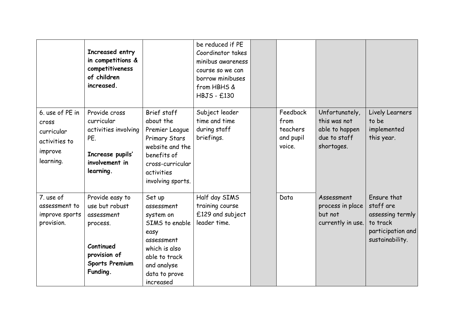|                                                                                 | Increased entry<br>in competitions &<br>competitiveness<br>of children<br>increased.                                          |                                                                                                                                                          | be reduced if PE<br>Coordinator takes<br>minibus awareness<br>course so we can<br>borrow minibuses<br>from HBHS &<br><b>HBJS - £130</b> |                                                     |                                                                                |                                                                                                  |
|---------------------------------------------------------------------------------|-------------------------------------------------------------------------------------------------------------------------------|----------------------------------------------------------------------------------------------------------------------------------------------------------|-----------------------------------------------------------------------------------------------------------------------------------------|-----------------------------------------------------|--------------------------------------------------------------------------------|--------------------------------------------------------------------------------------------------|
| 6. use of PE in<br>cross<br>curricular<br>activities to<br>improve<br>learning. | Provide cross<br>curricular<br>activities involving<br>PE.<br>Increase pupils'<br>involvement in<br>learning.                 | Brief staff<br>about the<br>Premier League<br>Primary Stars<br>website and the<br>benefits of<br>cross-curricular<br>activities<br>involving sports.     | Subject leader<br>time and time<br>during staff<br>briefings.                                                                           | Feedback<br>from<br>teachers<br>and pupil<br>voice. | Unfortunately,<br>this was not<br>able to happen<br>due to staff<br>shortages. | Lively Learners<br>to be<br>implemented<br>this year.                                            |
| 7. use of<br>assessment to<br>improve sports<br>provision.                      | Provide easy to<br>use but robust<br>assessment<br>process.<br>Continued<br>provision of<br><b>Sports Premium</b><br>Funding. | Set up<br>assessment<br>system on<br>SIMS to enable<br>easy<br>assessment<br>which is also<br>able to track<br>and analyse<br>data to prove<br>increased | Half day SIMS<br>training course<br>£129 and subject<br>leader time.                                                                    | Data                                                | Assessment<br>process in place<br>but not<br>currently in use.                 | Ensure that<br>staff are<br>assessing termly<br>to track<br>participation and<br>sustainability. |